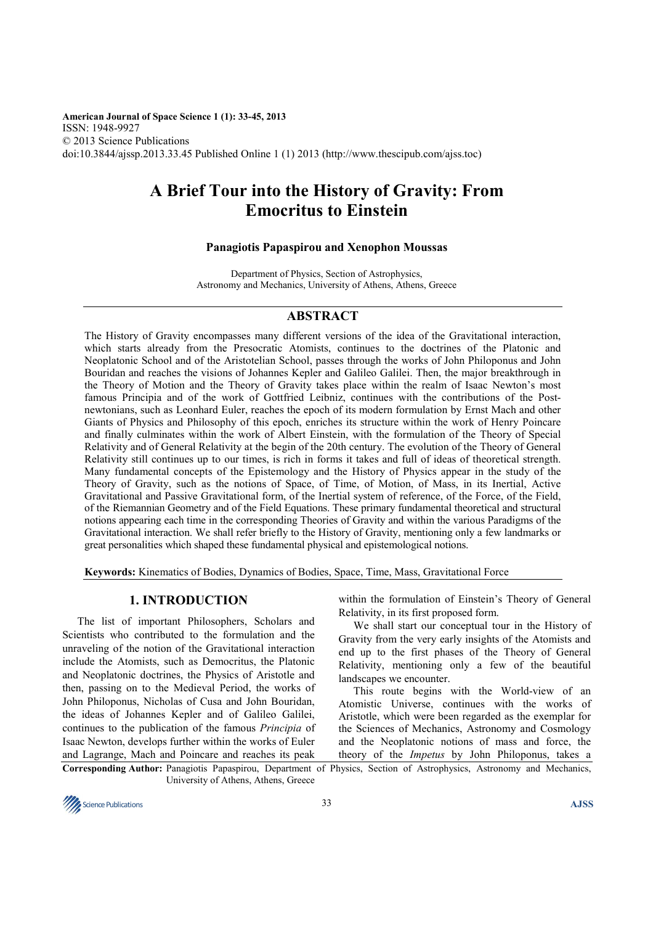**American Journal of Space Science 1 (1): 33-45, 2013**  ISSN: 1948-9927 © 2013 Science Publications doi:10.3844/ajssp.2013.33.45 Published Online 1 (1) 2013 (http://www.thescipub.com/ajss.toc)

# **A Brief Tour into the History of Gravity: From Emocritus to Einstein**

#### **Panagiotis Papaspirou and Xenophon Moussas**

Department of Physics, Section of Astrophysics, Astronomy and Mechanics, University of Athens, Athens, Greece

## **ABSTRACT**

The History of Gravity encompasses many different versions of the idea of the Gravitational interaction, which starts already from the Presocratic Atomists, continues to the doctrines of the Platonic and Neoplatonic School and of the Aristotelian School, passes through the works of John Philoponus and John Bouridan and reaches the visions of Johannes Kepler and Galileo Galilei. Then, the major breakthrough in the Theory of Motion and the Theory of Gravity takes place within the realm of Isaac Newton's most famous Principia and of the work of Gottfried Leibniz, continues with the contributions of the Postnewtonians, such as Leonhard Euler, reaches the epoch of its modern formulation by Ernst Mach and other Giants of Physics and Philosophy of this epoch, enriches its structure within the work of Henry Poincare and finally culminates within the work of Albert Einstein, with the formulation of the Theory of Special Relativity and of General Relativity at the begin of the 20th century. The evolution of the Theory of General Relativity still continues up to our times, is rich in forms it takes and full of ideas of theoretical strength. Many fundamental concepts of the Epistemology and the History of Physics appear in the study of the Theory of Gravity, such as the notions of Space, of Time, of Motion, of Mass, in its Inertial, Active Gravitational and Passive Gravitational form, of the Inertial system of reference, of the Force, of the Field, of the Riemannian Geometry and of the Field Equations. These primary fundamental theoretical and structural notions appearing each time in the corresponding Theories of Gravity and within the various Paradigms of the Gravitational interaction. We shall refer briefly to the History of Gravity, mentioning only a few landmarks or great personalities which shaped these fundamental physical and epistemological notions.

**Keywords:** Kinematics of Bodies, Dynamics of Bodies, Space, Time, Mass, Gravitational Force

## **1. INTRODUCTION**

The list of important Philosophers, Scholars and Scientists who contributed to the formulation and the unraveling of the notion of the Gravitational interaction include the Atomists, such as Democritus, the Platonic and Neoplatonic doctrines, the Physics of Aristotle and then, passing on to the Medieval Period, the works of John Philoponus, Nicholas of Cusa and John Bouridan, the ideas of Johannes Kepler and of Galileo Galilei, continues to the publication of the famous *Principia* of Isaac Newton, develops further within the works of Euler and Lagrange, Mach and Poincare and reaches its peak

within the formulation of Einstein's Theory of General Relativity, in its first proposed form.

We shall start our conceptual tour in the History of Gravity from the very early insights of the Atomists and end up to the first phases of the Theory of General Relativity, mentioning only a few of the beautiful landscapes we encounter.

This route begins with the World-view of an Atomistic Universe, continues with the works of Aristotle, which were been regarded as the exemplar for the Sciences of Mechanics, Astronomy and Cosmology and the Neoplatonic notions of mass and force, the theory of the *Impetus* by John Philoponus, takes a

**Corresponding Author:** Panagiotis Papaspirou, Department of Physics, Section of Astrophysics, Astronomy and Mechanics, University of Athens, Athens, Greece

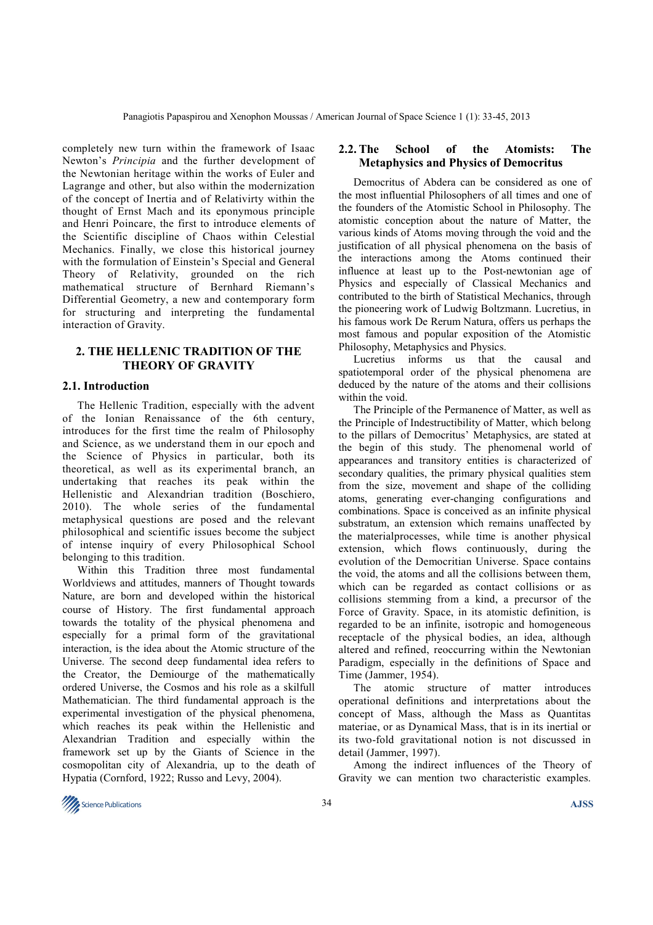completely new turn within the framework of Isaac Newton's *Principia* and the further development of the Newtonian heritage within the works of Euler and Lagrange and other, but also within the modernization of the concept of Inertia and of Relativirty within the thought of Ernst Mach and its eponymous principle and Henri Poincare, the first to introduce elements of the Scientific discipline of Chaos within Celestial Mechanics. Finally, we close this historical journey with the formulation of Einstein's Special and General Theory of Relativity, grounded on the rich mathematical structure of Bernhard Riemann's Differential Geometry, a new and contemporary form for structuring and interpreting the fundamental interaction of Gravity.

# **2. THE HELLENIC TRADITION OF THE THEORY OF GRAVITY**

#### **2.1. Introduction**

The Hellenic Tradition, especially with the advent of the Ionian Renaissance of the 6th century, introduces for the first time the realm of Philosophy and Science, as we understand them in our epoch and the Science of Physics in particular, both its theoretical, as well as its experimental branch, an undertaking that reaches its peak within the Hellenistic and Alexandrian tradition (Boschiero, 2010). The whole series of the fundamental metaphysical questions are posed and the relevant philosophical and scientific issues become the subject of intense inquiry of every Philosophical School belonging to this tradition.

Within this Tradition three most fundamental Worldviews and attitudes, manners of Thought towards Nature, are born and developed within the historical course of History. The first fundamental approach towards the totality of the physical phenomena and especially for a primal form of the gravitational interaction, is the idea about the Atomic structure of the Universe. The second deep fundamental idea refers to the Creator, the Demiourge of the mathematically ordered Universe, the Cosmos and his role as a skilfull Mathematician. The third fundamental approach is the experimental investigation of the physical phenomena, which reaches its peak within the Hellenistic and Alexandrian Tradition and especially within the framework set up by the Giants of Science in the cosmopolitan city of Alexandria, up to the death of Hypatia (Cornford, 1922; Russo and Levy, 2004).

## **2.2. The School of the Atomists: The Metaphysics and Physics of Democritus**

Democritus of Abdera can be considered as one of the most influential Philosophers of all times and one of the founders of the Atomistic School in Philosophy. The atomistic conception about the nature of Matter, the various kinds of Atoms moving through the void and the justification of all physical phenomena on the basis of the interactions among the Atoms continued their influence at least up to the Post-newtonian age of Physics and especially of Classical Mechanics and contributed to the birth of Statistical Mechanics, through the pioneering work of Ludwig Boltzmann. Lucretius, in his famous work De Rerum Natura, offers us perhaps the most famous and popular exposition of the Atomistic Philosophy, Metaphysics and Physics.

Lucretius informs us that the causal and spatiotemporal order of the physical phenomena are deduced by the nature of the atoms and their collisions within the void.

The Principle of the Permanence of Matter, as well as the Principle of Indestructibility of Matter, which belong to the pillars of Democritus' Metaphysics, are stated at the begin of this study. The phenomenal world of appearances and transitory entities is characterized of secondary qualities, the primary physical qualities stem from the size, movement and shape of the colliding atoms, generating ever-changing configurations and combinations. Space is conceived as an infinite physical substratum, an extension which remains unaffected by the materialprocesses, while time is another physical extension, which flows continuously, during the evolution of the Democritian Universe. Space contains the void, the atoms and all the collisions between them, which can be regarded as contact collisions or as collisions stemming from a kind, a precursor of the Force of Gravity. Space, in its atomistic definition, is regarded to be an infinite, isotropic and homogeneous receptacle of the physical bodies, an idea, although altered and refined, reoccurring within the Newtonian Paradigm, especially in the definitions of Space and Time (Jammer, 1954).

The atomic structure of matter introduces operational definitions and interpretations about the concept of Mass, although the Mass as Quantitas materiae, or as Dynamical Mass, that is in its inertial or its two-fold gravitational notion is not discussed in detail (Jammer, 1997).

Among the indirect influences of the Theory of Gravity we can mention two characteristic examples.

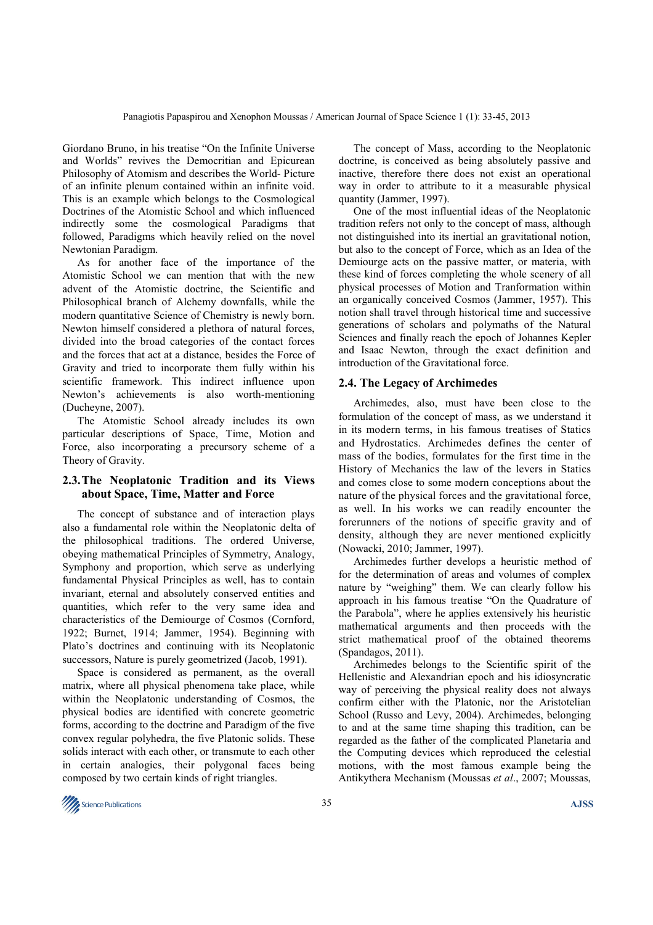Giordano Bruno, in his treatise "On the Infinite Universe and Worlds" revives the Democritian and Epicurean Philosophy of Atomism and describes the World- Picture of an infinite plenum contained within an infinite void. This is an example which belongs to the Cosmological Doctrines of the Atomistic School and which influenced indirectly some the cosmological Paradigms that followed, Paradigms which heavily relied on the novel Newtonian Paradigm.

As for another face of the importance of the Atomistic School we can mention that with the new advent of the Atomistic doctrine, the Scientific and Philosophical branch of Alchemy downfalls, while the modern quantitative Science of Chemistry is newly born. Newton himself considered a plethora of natural forces, divided into the broad categories of the contact forces and the forces that act at a distance, besides the Force of Gravity and tried to incorporate them fully within his scientific framework. This indirect influence upon Newton's achievements is also worth-mentioning (Ducheyne, 2007).

The Atomistic School already includes its own particular descriptions of Space, Time, Motion and Force, also incorporating a precursory scheme of a Theory of Gravity.

## **2.3. The Neoplatonic Tradition and its Views about Space, Time, Matter and Force**

The concept of substance and of interaction plays also a fundamental role within the Neoplatonic delta of the philosophical traditions. The ordered Universe, obeying mathematical Principles of Symmetry, Analogy, Symphony and proportion, which serve as underlying fundamental Physical Principles as well, has to contain invariant, eternal and absolutely conserved entities and quantities, which refer to the very same idea and characteristics of the Demiourge of Cosmos (Cornford, 1922; Burnet, 1914; Jammer, 1954). Beginning with Plato's doctrines and continuing with its Neoplatonic successors, Nature is purely geometrized (Jacob, 1991).

Space is considered as permanent, as the overall matrix, where all physical phenomena take place, while within the Neoplatonic understanding of Cosmos, the physical bodies are identified with concrete geometric forms, according to the doctrine and Paradigm of the five convex regular polyhedra, the five Platonic solids. These solids interact with each other, or transmute to each other in certain analogies, their polygonal faces being composed by two certain kinds of right triangles.

The concept of Mass, according to the Neoplatonic doctrine, is conceived as being absolutely passive and inactive, therefore there does not exist an operational way in order to attribute to it a measurable physical quantity (Jammer, 1997).

One of the most influential ideas of the Neoplatonic tradition refers not only to the concept of mass, although not distinguished into its inertial an gravitational notion, but also to the concept of Force, which as an Idea of the Demiourge acts on the passive matter, or materia, with these kind of forces completing the whole scenery of all physical processes of Motion and Tranformation within an organically conceived Cosmos (Jammer, 1957). This notion shall travel through historical time and successive generations of scholars and polymaths of the Natural Sciences and finally reach the epoch of Johannes Kepler and Isaac Newton, through the exact definition and introduction of the Gravitational force.

#### **2.4. The Legacy of Archimedes**

Archimedes, also, must have been close to the formulation of the concept of mass, as we understand it in its modern terms, in his famous treatises of Statics and Hydrostatics. Archimedes defines the center of mass of the bodies, formulates for the first time in the History of Mechanics the law of the levers in Statics and comes close to some modern conceptions about the nature of the physical forces and the gravitational force, as well. In his works we can readily encounter the forerunners of the notions of specific gravity and of density, although they are never mentioned explicitly (Nowacki, 2010; Jammer, 1997).

Archimedes further develops a heuristic method of for the determination of areas and volumes of complex nature by "weighing" them. We can clearly follow his approach in his famous treatise "On the Quadrature of the Parabola", where he applies extensively his heuristic mathematical arguments and then proceeds with the strict mathematical proof of the obtained theorems (Spandagos, 2011).

Archimedes belongs to the Scientific spirit of the Hellenistic and Alexandrian epoch and his idiosyncratic way of perceiving the physical reality does not always confirm either with the Platonic, nor the Aristotelian School (Russo and Levy, 2004). Archimedes, belonging to and at the same time shaping this tradition, can be regarded as the father of the complicated Planetaria and the Computing devices which reproduced the celestial motions, with the most famous example being the Antikythera Mechanism (Moussas *et al*., 2007; Moussas,

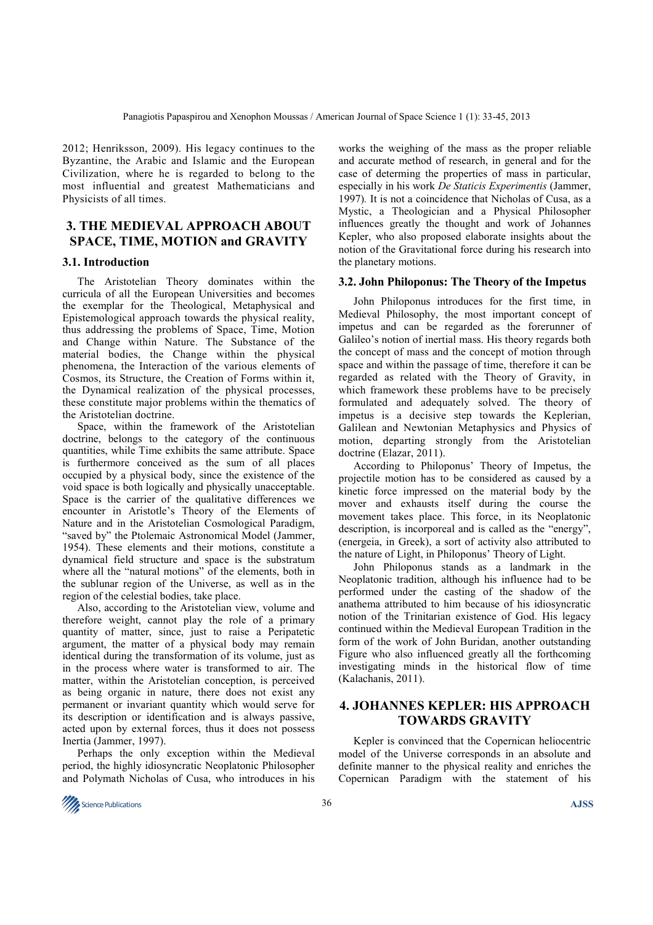2012; Henriksson, 2009). His legacy continues to the Byzantine, the Arabic and Islamic and the European Civilization, where he is regarded to belong to the most influential and greatest Mathematicians and Physicists of all times.

# **3. THE MEDIEVAL APPROACH ABOUT SPACE, TIME, MOTION and GRAVITY**

## **3.1. Introduction**

The Aristotelian Theory dominates within the curricula of all the European Universities and becomes the exemplar for the Theological, Metaphysical and Epistemological approach towards the physical reality, thus addressing the problems of Space, Time, Motion and Change within Nature. The Substance of the material bodies, the Change within the physical phenomena, the Interaction of the various elements of Cosmos, its Structure, the Creation of Forms within it, the Dynamical realization of the physical processes, these constitute major problems within the thematics of the Aristotelian doctrine.

Space, within the framework of the Aristotelian doctrine, belongs to the category of the continuous quantities, while Time exhibits the same attribute. Space is furthermore conceived as the sum of all places occupied by a physical body, since the existence of the void space is both logically and physically unacceptable. Space is the carrier of the qualitative differences we encounter in Aristotle's Theory of the Elements of Nature and in the Aristotelian Cosmological Paradigm, "saved by" the Ptolemaic Astronomical Model (Jammer, 1954). These elements and their motions, constitute a dynamical field structure and space is the substratum where all the "natural motions" of the elements, both in the sublunar region of the Universe, as well as in the region of the celestial bodies, take place.

Also, according to the Aristotelian view, volume and therefore weight, cannot play the role of a primary quantity of matter, since, just to raise a Peripatetic argument, the matter of a physical body may remain identical during the transformation of its volume, just as in the process where water is transformed to air. The matter, within the Aristotelian conception, is perceived as being organic in nature, there does not exist any permanent or invariant quantity which would serve for its description or identification and is always passive, acted upon by external forces, thus it does not possess Inertia (Jammer, 1997).

Perhaps the only exception within the Medieval period, the highly idiosyncratic Neoplatonic Philosopher and Polymath Nicholas of Cusa, who introduces in his works the weighing of the mass as the proper reliable and accurate method of research, in general and for the case of determing the properties of mass in particular, especially in his work *De Staticis Experimentis* (Jammer, 1997)*.* It is not a coincidence that Nicholas of Cusa, as a Mystic, a Theologician and a Physical Philosopher influences greatly the thought and work of Johannes Kepler, who also proposed elaborate insights about the notion of the Gravitational force during his research into the planetary motions.

#### **3.2. John Philoponus: The Theory of the Impetus**

John Philoponus introduces for the first time, in Medieval Philosophy, the most important concept of impetus and can be regarded as the forerunner of Galileo's notion of inertial mass. His theory regards both the concept of mass and the concept of motion through space and within the passage of time, therefore it can be regarded as related with the Theory of Gravity, in which framework these problems have to be precisely formulated and adequately solved. The theory of impetus is a decisive step towards the Keplerian, Galilean and Newtonian Metaphysics and Physics of motion, departing strongly from the Aristotelian doctrine (Elazar, 2011).

According to Philoponus' Theory of Impetus, the projectile motion has to be considered as caused by a kinetic force impressed on the material body by the mover and exhausts itself during the course the movement takes place. This force, in its Neoplatonic description, is incorporeal and is called as the "energy", (energeia, in Greek), a sort of activity also attributed to the nature of Light, in Philoponus' Theory of Light.

John Philoponus stands as a landmark in the Neoplatonic tradition, although his influence had to be performed under the casting of the shadow of the anathema attributed to him because of his idiosyncratic notion of the Trinitarian existence of God. His legacy continued within the Medieval European Tradition in the form of the work of John Buridan, another outstanding Figure who also influenced greatly all the forthcoming investigating minds in the historical flow of time (Kalachanis, 2011).

# **4. JOHANNES KEPLER: HIS APPROACH TOWARDS GRAVITY**

Kepler is convinced that the Copernican heliocentric model of the Universe corresponds in an absolute and definite manner to the physical reality and enriches the Copernican Paradigm with the statement of his

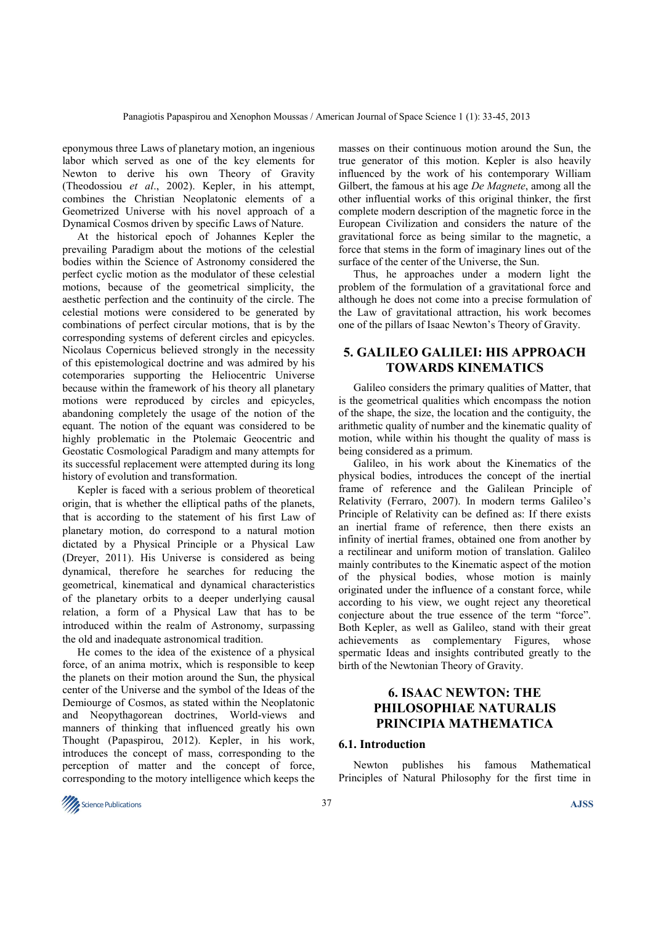eponymous three Laws of planetary motion, an ingenious labor which served as one of the key elements for Newton to derive his own Theory of Gravity (Theodossiou *et al*., 2002). Kepler, in his attempt, combines the Christian Neoplatonic elements of a Geometrized Universe with his novel approach of a Dynamical Cosmos driven by specific Laws of Nature.

At the historical epoch of Johannes Kepler the prevailing Paradigm about the motions of the celestial bodies within the Science of Astronomy considered the perfect cyclic motion as the modulator of these celestial motions, because of the geometrical simplicity, the aesthetic perfection and the continuity of the circle. The celestial motions were considered to be generated by combinations of perfect circular motions, that is by the corresponding systems of deferent circles and epicycles. Nicolaus Copernicus believed strongly in the necessity of this epistemological doctrine and was admired by his cotemporaries supporting the Heliocentric Universe because within the framework of his theory all planetary motions were reproduced by circles and epicycles, abandoning completely the usage of the notion of the equant. The notion of the equant was considered to be highly problematic in the Ptolemaic Geocentric and Geostatic Cosmological Paradigm and many attempts for its successful replacement were attempted during its long history of evolution and transformation.

Kepler is faced with a serious problem of theoretical origin, that is whether the elliptical paths of the planets, that is according to the statement of his first Law of planetary motion, do correspond to a natural motion dictated by a Physical Principle or a Physical Law (Dreyer, 2011). His Universe is considered as being dynamical, therefore he searches for reducing the geometrical, kinematical and dynamical characteristics of the planetary orbits to a deeper underlying causal relation, a form of a Physical Law that has to be introduced within the realm of Astronomy, surpassing the old and inadequate astronomical tradition.

He comes to the idea of the existence of a physical force, of an anima motrix, which is responsible to keep the planets on their motion around the Sun, the physical center of the Universe and the symbol of the Ideas of the Demiourge of Cosmos, as stated within the Neoplatonic and Neopythagorean doctrines, World-views and manners of thinking that influenced greatly his own Thought (Papaspirou, 2012). Kepler, in his work, introduces the concept of mass, corresponding to the perception of matter and the concept of force, corresponding to the motory intelligence which keeps the

masses on their continuous motion around the Sun, the true generator of this motion. Kepler is also heavily influenced by the work of his contemporary William Gilbert, the famous at his age *De Magnete*, among all the other influential works of this original thinker, the first complete modern description of the magnetic force in the European Civilization and considers the nature of the gravitational force as being similar to the magnetic, a force that stems in the form of imaginary lines out of the surface of the center of the Universe, the Sun.

Thus, he approaches under a modern light the problem of the formulation of a gravitational force and although he does not come into a precise formulation of the Law of gravitational attraction, his work becomes one of the pillars of Isaac Newton's Theory of Gravity.

# **5. GALILEO GALILEI: HIS APPROACH TOWARDS KINEMATICS**

Galileo considers the primary qualities of Matter, that is the geometrical qualities which encompass the notion of the shape, the size, the location and the contiguity, the arithmetic quality of number and the kinematic quality of motion, while within his thought the quality of mass is being considered as a primum.

Galileo, in his work about the Kinematics of the physical bodies, introduces the concept of the inertial frame of reference and the Galilean Principle of Relativity (Ferraro, 2007). In modern terms Galileo's Principle of Relativity can be defined as: If there exists an inertial frame of reference, then there exists an infinity of inertial frames, obtained one from another by a rectilinear and uniform motion of translation. Galileo mainly contributes to the Kinematic aspect of the motion of the physical bodies, whose motion is mainly originated under the influence of a constant force, while according to his view, we ought reject any theoretical conjecture about the true essence of the term "force". Both Kepler, as well as Galileo, stand with their great achievements as complementary Figures, whose spermatic Ideas and insights contributed greatly to the birth of the Newtonian Theory of Gravity.

# **6. ISAAC NEWTON: THE PHILOSOPHIAE NATURALIS PRINCIPIA MATHEMATICA**

## **6.1. Introduction**

Newton publishes his famous Mathematical Principles of Natural Philosophy for the first time in

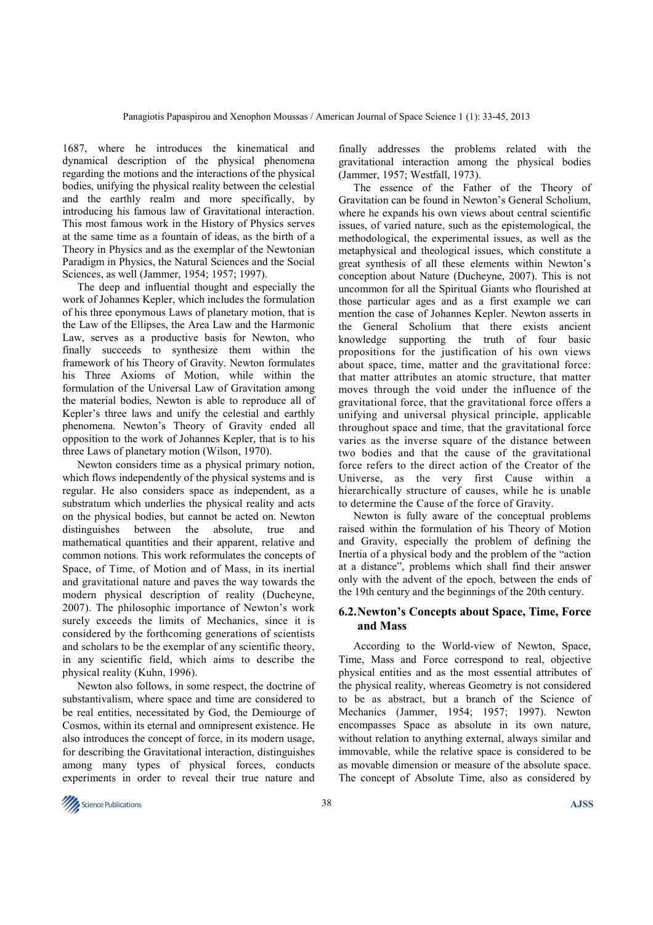1687, where he introduces the kinematical and dynamical description of the physical phenomena regarding the motions and the interactions of the physical bodies, unifying the physical reality between the celestial and the earthly realm and more specifically, by introducing his famous law of Gravitational interaction. This most famous work in the History of Physics serves at the same time as a fountain of ideas, as the birth of a Theory in Physics and as the exemplar of the Newtonian Paradigm in Physics, the Natural Sciences and the Social Sciences, as well (Jammer, 1954; 1957; 1997).

The deep and influential thought and especially the work of Johannes Kepler, which includes the formulation of his three eponymous Laws of planetary motion, that is the Law of the Ellipses, the Area Law and the Harmonic Law, serves as a productive basis for Newton, who finally succeeds to synthesize them within the framework of his Theory of Gravity. Newton formulates his Three Axioms of Motion, while within the formulation of the Universal Law of Gravitation among the material bodies, Newton is able to reproduce all of Kepler's three laws and unify the celestial and earthly phenomena. Newton's Theory of Gravity ended all opposition to the work of Johannes Kepler, that is to his three Laws of planetary motion (Wilson, 1970).

Newton considers time as a physical primary notion, which flows independently of the physical systems and is regular. He also considers space as independent, as a substratum which underlies the physical reality and acts on the physical bodies, but cannot be acted on. Newton distinguishes between the absolute, true and mathematical quantities and their apparent, relative and common notions. This work reformulates the concepts of Space, of Time, of Motion and of Mass, in its inertial and gravitational nature and paves the way towards the modern physical description of reality (Ducheyne, 2007). The philosophic importance of Newton's work surely exceeds the limits of Mechanics, since it is considered by the forthcoming generations of scientists and scholars to be the exemplar of any scientific theory, in any scientific field, which aims to describe the physical reality (Kuhn, 1996).

Newton also follows, in some respect, the doctrine of substantivalism, where space and time are considered to be real entities, necessitated by God, the Demiourge of Cosmos, within its eternal and omnipresent existence. He also introduces the concept of force, in its modern usage, for describing the Gravitational interaction, distinguishes among many types of physical forces, conducts experiments in order to reveal their true nature and

finally addresses the problems related with the gravitational interaction among the physical bodies (Jammer, 1957; Westfall, 1973).

The essence of the Father of the Theory of Gravitation can be found in Newton's General Scholium, where he expands his own views about central scientific issues, of varied nature, such as the epistemological, the methodological, the experimental issues, as well as the metaphysical and theological issues, which constitute a great synthesis of all these elements within Newton's conception about Nature (Ducheyne, 2007). This is not uncommon for all the Spiritual Giants who flourished at those particular ages and as a first example we can mention the case of Johannes Kepler. Newton asserts in the General Scholium that there exists ancient knowledge supporting the truth of four basic propositions for the justification of his own views about space, time, matter and the gravitational force: that matter attributes an atomic structure, that matter moves through the void under the influence of the gravitational force, that the gravitational force offers a unifying and universal physical principle, applicable throughout space and time, that the gravitational force varies as the inverse square of the distance between two bodies and that the cause of the gravitational force refers to the direct action of the Creator of the Universe, as the very first Cause within a hierarchically structure of causes, while he is unable to determine the Cause of the force of Gravity.

Newton is fully aware of the conceptual problems raised within the formulation of his Theory of Motion and Gravity, especially the problem of defining the Inertia of a physical body and the problem of the "action at a distance", problems which shall find their answer only with the advent of the epoch, between the ends of the 19th century and the beginnings of the 20th century.

#### **6.2. Newton's Concepts about Space, Time, Force and Mass**

According to the World-view of Newton, Space, Time, Mass and Force correspond to real, objective physical entities and as the most essential attributes of the physical reality, whereas Geometry is not considered to be as abstract, but a branch of the Science of Mechanics (Jammer, 1954; 1957; 1997). Newton encompasses Space as absolute in its own nature, without relation to anything external, always similar and immovable, while the relative space is considered to be as movable dimension or measure of the absolute space. The concept of Absolute Time, also as considered by

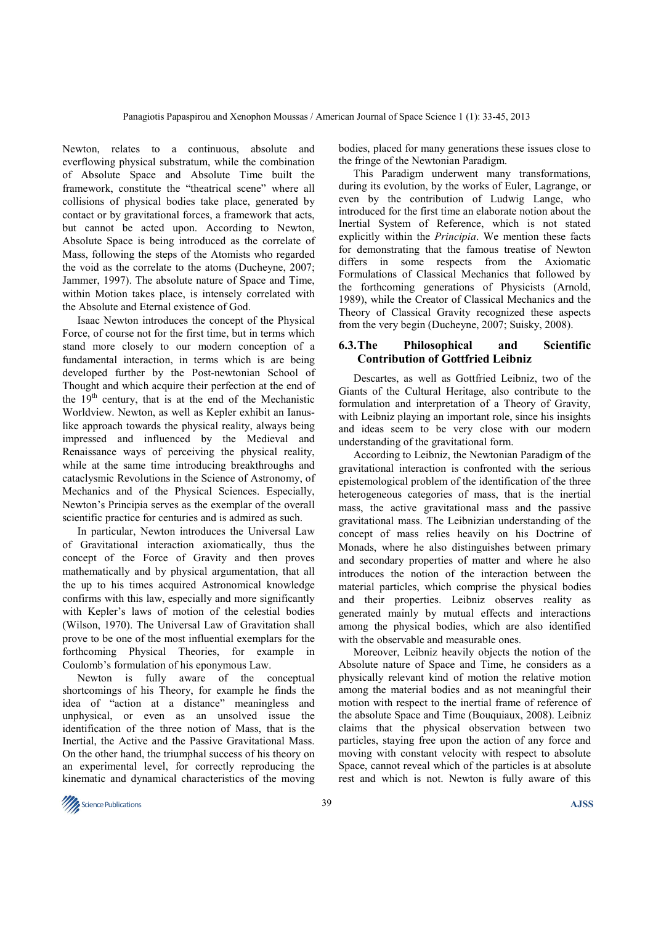Newton, relates to a continuous, absolute and everflowing physical substratum, while the combination of Absolute Space and Absolute Time built the framework, constitute the "theatrical scene" where all collisions of physical bodies take place, generated by contact or by gravitational forces, a framework that acts, but cannot be acted upon. According to Newton, Absolute Space is being introduced as the correlate of Mass, following the steps of the Atomists who regarded the void as the correlate to the atoms (Ducheyne, 2007; Jammer, 1997). The absolute nature of Space and Time, within Motion takes place, is intensely correlated with the Absolute and Eternal existence of God.

Isaac Newton introduces the concept of the Physical Force, of course not for the first time, but in terms which stand more closely to our modern conception of a fundamental interaction, in terms which is are being developed further by the Post-newtonian School of Thought and which acquire their perfection at the end of the  $19<sup>th</sup>$  century, that is at the end of the Mechanistic Worldview. Newton, as well as Kepler exhibit an Ianuslike approach towards the physical reality, always being impressed and influenced by the Medieval and Renaissance ways of perceiving the physical reality, while at the same time introducing breakthroughs and cataclysmic Revolutions in the Science of Astronomy, of Mechanics and of the Physical Sciences. Especially, Newton's Principia serves as the exemplar of the overall scientific practice for centuries and is admired as such.

In particular, Newton introduces the Universal Law of Gravitational interaction axiomatically, thus the concept of the Force of Gravity and then proves mathematically and by physical argumentation, that all the up to his times acquired Astronomical knowledge confirms with this law, especially and more significantly with Kepler's laws of motion of the celestial bodies (Wilson, 1970). The Universal Law of Gravitation shall prove to be one of the most influential exemplars for the forthcoming Physical Theories, for example in Coulomb's formulation of his eponymous Law.

Newton is fully aware of the conceptual shortcomings of his Theory, for example he finds the idea of "action at a distance" meaningless and unphysical, or even as an unsolved issue the identification of the three notion of Mass, that is the Inertial, the Active and the Passive Gravitational Mass. On the other hand, the triumphal success of his theory on an experimental level, for correctly reproducing the kinematic and dynamical characteristics of the moving bodies, placed for many generations these issues close to the fringe of the Newtonian Paradigm.

This Paradigm underwent many transformations, during its evolution, by the works of Euler, Lagrange, or even by the contribution of Ludwig Lange, who introduced for the first time an elaborate notion about the Inertial System of Reference, which is not stated explicitly within the *Principia*. We mention these facts for demonstrating that the famous treatise of Newton differs in some respects from the Axiomatic Formulations of Classical Mechanics that followed by the forthcoming generations of Physicists (Arnold, 1989), while the Creator of Classical Mechanics and the Theory of Classical Gravity recognized these aspects from the very begin (Ducheyne, 2007; Suisky, 2008).

## **6.3. The Philosophical and Scientific Contribution of Gottfried Leibniz**

Descartes, as well as Gottfried Leibniz, two of the Giants of the Cultural Heritage, also contribute to the formulation and interpretation of a Theory of Gravity, with Leibniz playing an important role, since his insights and ideas seem to be very close with our modern understanding of the gravitational form.

According to Leibniz, the Newtonian Paradigm of the gravitational interaction is confronted with the serious epistemological problem of the identification of the three heterogeneous categories of mass, that is the inertial mass, the active gravitational mass and the passive gravitational mass. The Leibnizian understanding of the concept of mass relies heavily on his Doctrine of Monads, where he also distinguishes between primary and secondary properties of matter and where he also introduces the notion of the interaction between the material particles, which comprise the physical bodies and their properties. Leibniz observes reality as generated mainly by mutual effects and interactions among the physical bodies, which are also identified with the observable and measurable ones.

Moreover, Leibniz heavily objects the notion of the Absolute nature of Space and Time, he considers as a physically relevant kind of motion the relative motion among the material bodies and as not meaningful their motion with respect to the inertial frame of reference of the absolute Space and Time (Bouquiaux, 2008). Leibniz claims that the physical observation between two particles, staying free upon the action of any force and moving with constant velocity with respect to absolute Space, cannot reveal which of the particles is at absolute rest and which is not. Newton is fully aware of this

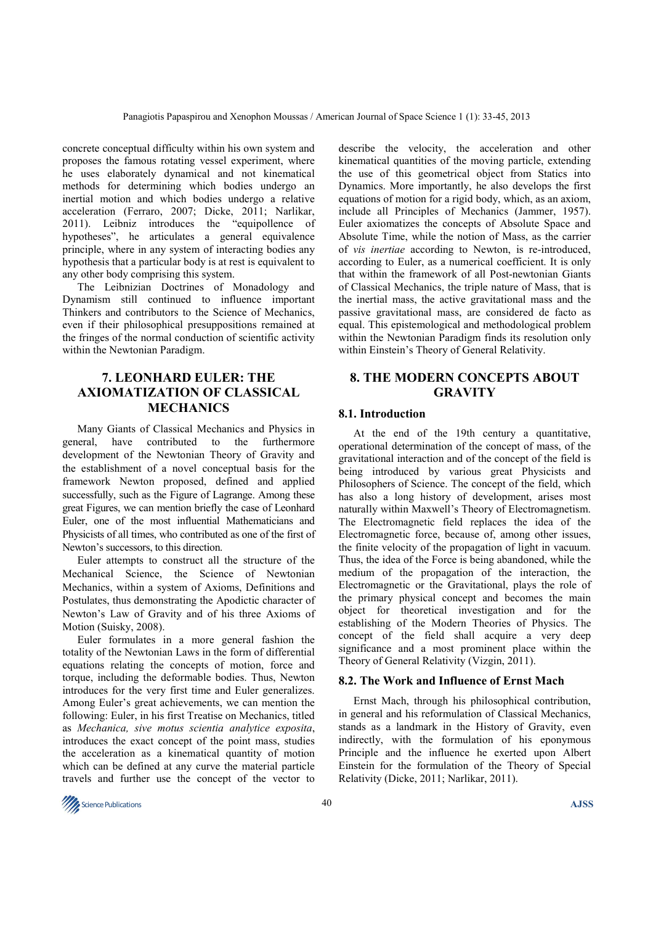concrete conceptual difficulty within his own system and proposes the famous rotating vessel experiment, where he uses elaborately dynamical and not kinematical methods for determining which bodies undergo an inertial motion and which bodies undergo a relative acceleration (Ferraro, 2007; Dicke, 2011; Narlikar, 2011). Leibniz introduces the "equipollence of hypotheses", he articulates a general equivalence principle, where in any system of interacting bodies any hypothesis that a particular body is at rest is equivalent to any other body comprising this system.

The Leibnizian Doctrines of Monadology and Dynamism still continued to influence important Thinkers and contributors to the Science of Mechanics, even if their philosophical presuppositions remained at the fringes of the normal conduction of scientific activity within the Newtonian Paradigm.

# **7. LEONHARD EULER: THE AXIOMATIZATION OF CLASSICAL MECHANICS**

Many Giants of Classical Mechanics and Physics in general, have contributed to the furthermore development of the Newtonian Theory of Gravity and the establishment of a novel conceptual basis for the framework Newton proposed, defined and applied successfully, such as the Figure of Lagrange. Among these great Figures, we can mention briefly the case of Leonhard Euler, one of the most influential Mathematicians and Physicists of all times, who contributed as one of the first of Newton's successors, to this direction.

Euler attempts to construct all the structure of the Mechanical Science, the Science of Newtonian Mechanics, within a system of Axioms, Definitions and Postulates, thus demonstrating the Apodictic character of Newton's Law of Gravity and of his three Axioms of Motion (Suisky, 2008).

Euler formulates in a more general fashion the totality of the Newtonian Laws in the form of differential equations relating the concepts of motion, force and torque, including the deformable bodies. Thus, Newton introduces for the very first time and Euler generalizes. Among Euler's great achievements, we can mention the following: Euler, in his first Treatise on Mechanics, titled as *Mechanica, sive motus scientia analytice exposita*, introduces the exact concept of the point mass, studies the acceleration as a kinematical quantity of motion which can be defined at any curve the material particle travels and further use the concept of the vector to

describe the velocity, the acceleration and other kinematical quantities of the moving particle, extending the use of this geometrical object from Statics into Dynamics. More importantly, he also develops the first equations of motion for a rigid body, which, as an axiom, include all Principles of Mechanics (Jammer, 1957). Euler axiomatizes the concepts of Absolute Space and Absolute Time, while the notion of Mass, as the carrier of *vis inertiae* according to Newton, is re-introduced, according to Euler, as a numerical coefficient. It is only that within the framework of all Post-newtonian Giants of Classical Mechanics, the triple nature of Mass, that is the inertial mass, the active gravitational mass and the passive gravitational mass, are considered de facto as equal. This epistemological and methodological problem within the Newtonian Paradigm finds its resolution only within Einstein's Theory of General Relativity.

# **8. THE MODERN CONCEPTS ABOUT GRAVITY**

# **8.1. Introduction**

At the end of the 19th century a quantitative, operational determination of the concept of mass, of the gravitational interaction and of the concept of the field is being introduced by various great Physicists and Philosophers of Science. The concept of the field, which has also a long history of development, arises most naturally within Maxwell's Theory of Electromagnetism. The Electromagnetic field replaces the idea of the Electromagnetic force, because of, among other issues, the finite velocity of the propagation of light in vacuum. Thus, the idea of the Force is being abandoned, while the medium of the propagation of the interaction, the Electromagnetic or the Gravitational, plays the role of the primary physical concept and becomes the main object for theoretical investigation and for the establishing of the Modern Theories of Physics. The concept of the field shall acquire a very deep significance and a most prominent place within the Theory of General Relativity (Vizgin, 2011).

#### **8.2. The Work and Influence of Ernst Mach**

Ernst Mach, through his philosophical contribution, in general and his reformulation of Classical Mechanics, stands as a landmark in the History of Gravity, even indirectly, with the formulation of his eponymous Principle and the influence he exerted upon Albert Einstein for the formulation of the Theory of Special Relativity (Dicke, 2011; Narlikar, 2011).

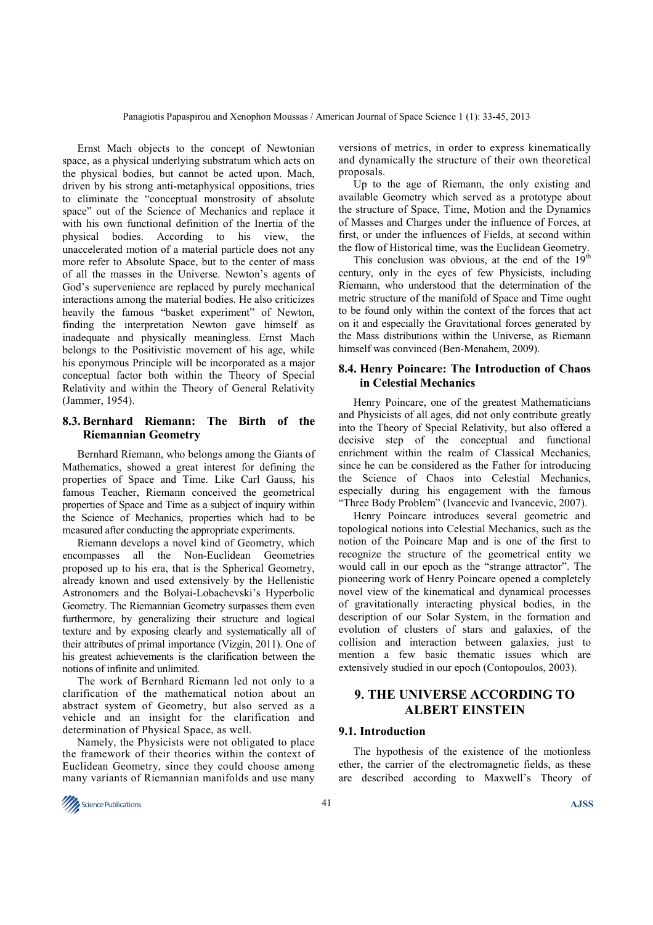Ernst Mach objects to the concept of Newtonian space, as a physical underlying substratum which acts on the physical bodies, but cannot be acted upon. Mach, driven by his strong anti-metaphysical oppositions, tries to eliminate the "conceptual monstrosity of absolute space" out of the Science of Mechanics and replace it with his own functional definition of the Inertia of the physical bodies. According to his view, the unaccelerated motion of a material particle does not any more refer to Absolute Space, but to the center of mass of all the masses in the Universe. Newton's agents of God's supervenience are replaced by purely mechanical interactions among the material bodies. He also criticizes heavily the famous "basket experiment" of Newton, finding the interpretation Newton gave himself as inadequate and physically meaningless. Ernst Mach belongs to the Positivistic movement of his age, while his eponymous Principle will be incorporated as a major conceptual factor both within the Theory of Special Relativity and within the Theory of General Relativity (Jammer, 1954).

## **8.3. Bernhard Riemann: The Birth of the Riemannian Geometry**

Bernhard Riemann, who belongs among the Giants of Mathematics, showed a great interest for defining the properties of Space and Time. Like Carl Gauss, his famous Teacher, Riemann conceived the geometrical properties of Space and Time as a subject of inquiry within the Science of Mechanics, properties which had to be measured after conducting the appropriate experiments.

Riemann develops a novel kind of Geometry, which encompasses all the Non-Euclidean Geometries proposed up to his era, that is the Spherical Geometry, already known and used extensively by the Hellenistic Astronomers and the Bolyai-Lobachevski's Hyperbolic Geometry. The Riemannian Geometry surpasses them even furthermore, by generalizing their structure and logical texture and by exposing clearly and systematically all of their attributes of primal importance (Vizgin, 2011). One of his greatest achievements is the clarification between the notions of infinite and unlimited.

The work of Bernhard Riemann led not only to a clarification of the mathematical notion about an abstract system of Geometry, but also served as a vehicle and an insight for the clarification and determination of Physical Space, as well.

Namely, the Physicists were not obligated to place the framework of their theories within the context of Euclidean Geometry, since they could choose among many variants of Riemannian manifolds and use many

versions of metrics, in order to express kinematically and dynamically the structure of their own theoretical proposals.

Up to the age of Riemann, the only existing and available Geometry which served as a prototype about the structure of Space, Time, Motion and the Dynamics of Masses and Charges under the influence of Forces, at first, or under the influences of Fields, at second within the flow of Historical time, was the Euclidean Geometry.

This conclusion was obvious, at the end of the  $19<sup>th</sup>$ century, only in the eyes of few Physicists, including Riemann, who understood that the determination of the metric structure of the manifold of Space and Time ought to be found only within the context of the forces that act on it and especially the Gravitational forces generated by the Mass distributions within the Universe, as Riemann himself was convinced (Ben-Menahem, 2009).

#### **8.4. Henry Poincare: The Introduction of Chaos in Celestial Mechanics**

Henry Poincare, one of the greatest Mathematicians and Physicists of all ages, did not only contribute greatly into the Theory of Special Relativity, but also offered a decisive step of the conceptual and functional enrichment within the realm of Classical Mechanics, since he can be considered as the Father for introducing the Science of Chaos into Celestial Mechanics, especially during his engagement with the famous "Three Body Problem" (Ivancevic and Ivancevic, 2007).

Henry Poincare introduces several geometric and topological notions into Celestial Mechanics, such as the notion of the Poincare Map and is one of the first to recognize the structure of the geometrical entity we would call in our epoch as the "strange attractor". The pioneering work of Henry Poincare opened a completely novel view of the kinematical and dynamical processes of gravitationally interacting physical bodies, in the description of our Solar System, in the formation and evolution of clusters of stars and galaxies, of the collision and interaction between galaxies, just to mention a few basic thematic issues which are extensively studied in our epoch (Contopoulos, 2003).

# **9. THE UNIVERSE ACCORDING TO ALBERT EINSTEIN**

## **9.1. Introduction**

The hypothesis of the existence of the motionless ether, the carrier of the electromagnetic fields, as these are described according to Maxwell's Theory of

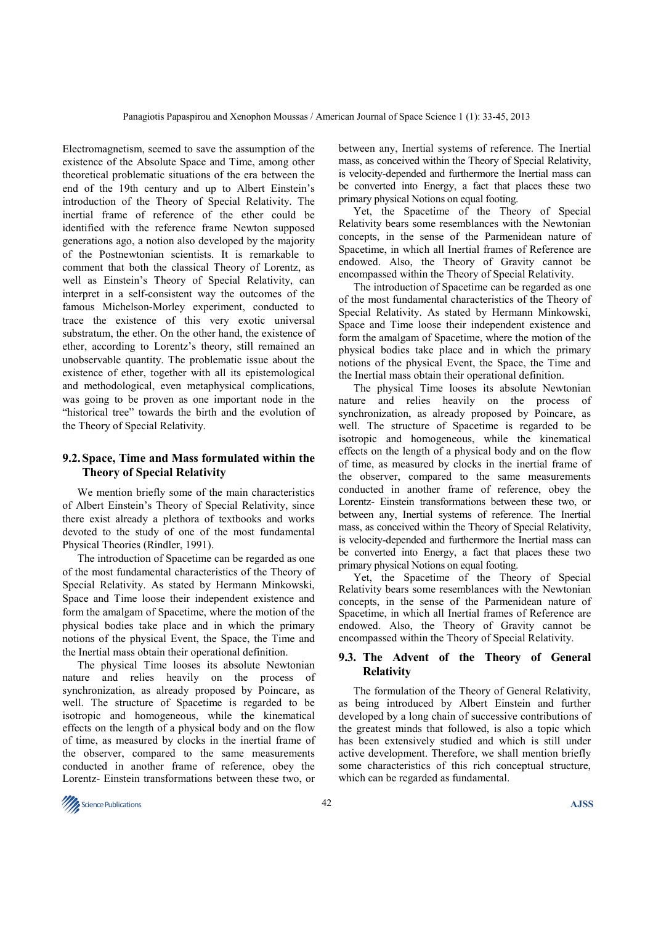Electromagnetism, seemed to save the assumption of the existence of the Absolute Space and Time, among other theoretical problematic situations of the era between the end of the 19th century and up to Albert Einstein's introduction of the Theory of Special Relativity. The inertial frame of reference of the ether could be identified with the reference frame Newton supposed generations ago, a notion also developed by the majority of the Postnewtonian scientists. It is remarkable to comment that both the classical Theory of Lorentz, as well as Einstein's Theory of Special Relativity, can interpret in a self-consistent way the outcomes of the famous Michelson-Morley experiment, conducted to trace the existence of this very exotic universal substratum, the ether. On the other hand, the existence of ether, according to Lorentz's theory, still remained an unobservable quantity. The problematic issue about the existence of ether, together with all its epistemological and methodological, even metaphysical complications, was going to be proven as one important node in the "historical tree" towards the birth and the evolution of the Theory of Special Relativity.

## **9.2. Space, Time and Mass formulated within the Theory of Special Relativity**

We mention briefly some of the main characteristics of Albert Einstein's Theory of Special Relativity, since there exist already a plethora of textbooks and works devoted to the study of one of the most fundamental Physical Theories (Rindler, 1991).

The introduction of Spacetime can be regarded as one of the most fundamental characteristics of the Theory of Special Relativity. As stated by Hermann Minkowski, Space and Time loose their independent existence and form the amalgam of Spacetime, where the motion of the physical bodies take place and in which the primary notions of the physical Event, the Space, the Time and the Inertial mass obtain their operational definition.

The physical Time looses its absolute Newtonian nature and relies heavily on the process of synchronization, as already proposed by Poincare, as well. The structure of Spacetime is regarded to be isotropic and homogeneous, while the kinematical effects on the length of a physical body and on the flow of time, as measured by clocks in the inertial frame of the observer, compared to the same measurements conducted in another frame of reference, obey the Lorentz- Einstein transformations between these two, or

between any, Inertial systems of reference. The Inertial mass, as conceived within the Theory of Special Relativity, is velocity-depended and furthermore the Inertial mass can be converted into Energy, a fact that places these two primary physical Notions on equal footing.

Yet, the Spacetime of the Theory of Special Relativity bears some resemblances with the Newtonian concepts, in the sense of the Parmenidean nature of Spacetime, in which all Inertial frames of Reference are endowed. Also, the Theory of Gravity cannot be encompassed within the Theory of Special Relativity.

The introduction of Spacetime can be regarded as one of the most fundamental characteristics of the Theory of Special Relativity. As stated by Hermann Minkowski, Space and Time loose their independent existence and form the amalgam of Spacetime, where the motion of the physical bodies take place and in which the primary notions of the physical Event, the Space, the Time and the Inertial mass obtain their operational definition.

The physical Time looses its absolute Newtonian nature and relies heavily on the process of synchronization, as already proposed by Poincare, as well. The structure of Spacetime is regarded to be isotropic and homogeneous, while the kinematical effects on the length of a physical body and on the flow of time, as measured by clocks in the inertial frame of the observer, compared to the same measurements conducted in another frame of reference, obey the Lorentz- Einstein transformations between these two, or between any, Inertial systems of reference. The Inertial mass, as conceived within the Theory of Special Relativity, is velocity-depended and furthermore the Inertial mass can be converted into Energy, a fact that places these two primary physical Notions on equal footing.

Yet, the Spacetime of the Theory of Special Relativity bears some resemblances with the Newtonian concepts, in the sense of the Parmenidean nature of Spacetime, in which all Inertial frames of Reference are endowed. Also, the Theory of Gravity cannot be encompassed within the Theory of Special Relativity.

## **9.3. The Advent of the Theory of General Relativity**

The formulation of the Theory of General Relativity, as being introduced by Albert Einstein and further developed by a long chain of successive contributions of the greatest minds that followed, is also a topic which has been extensively studied and which is still under active development. Therefore, we shall mention briefly some characteristics of this rich conceptual structure, which can be regarded as fundamental.

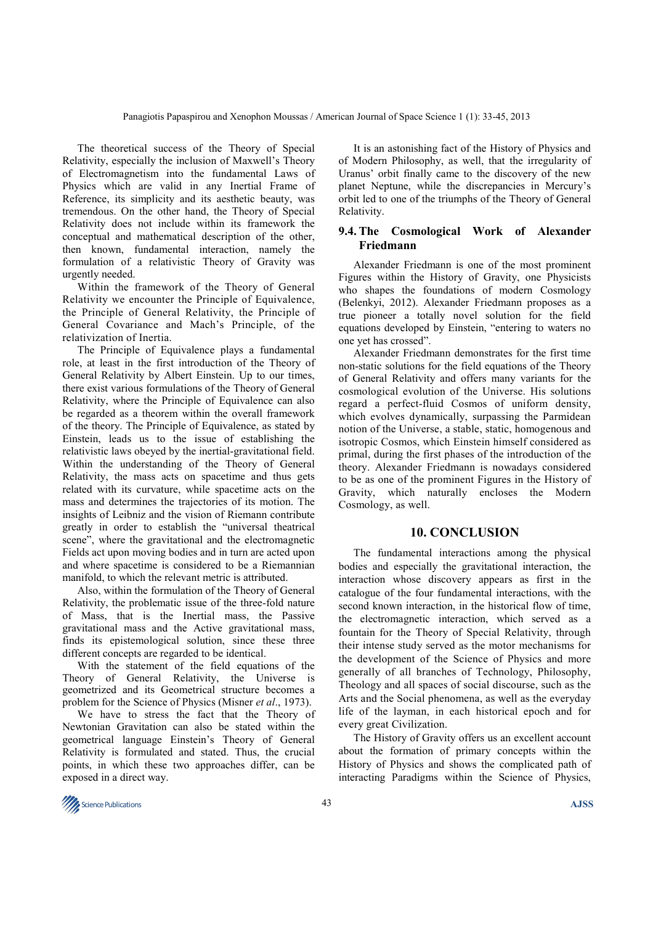The theoretical success of the Theory of Special Relativity, especially the inclusion of Maxwell's Theory of Electromagnetism into the fundamental Laws of Physics which are valid in any Inertial Frame of Reference, its simplicity and its aesthetic beauty, was tremendous. On the other hand, the Theory of Special Relativity does not include within its framework the conceptual and mathematical description of the other, then known, fundamental interaction, namely the formulation of a relativistic Theory of Gravity was urgently needed.

Within the framework of the Theory of General Relativity we encounter the Principle of Equivalence, the Principle of General Relativity, the Principle of General Covariance and Mach's Principle, of the relativization of Inertia.

The Principle of Equivalence plays a fundamental role, at least in the first introduction of the Theory of General Relativity by Albert Einstein. Up to our times, there exist various formulations of the Theory of General Relativity, where the Principle of Equivalence can also be regarded as a theorem within the overall framework of the theory. The Principle of Equivalence, as stated by Einstein, leads us to the issue of establishing the relativistic laws obeyed by the inertial-gravitational field. Within the understanding of the Theory of General Relativity, the mass acts on spacetime and thus gets related with its curvature, while spacetime acts on the mass and determines the trajectories of its motion. The insights of Leibniz and the vision of Riemann contribute greatly in order to establish the "universal theatrical scene", where the gravitational and the electromagnetic Fields act upon moving bodies and in turn are acted upon and where spacetime is considered to be a Riemannian manifold, to which the relevant metric is attributed.

Also, within the formulation of the Theory of General Relativity, the problematic issue of the three-fold nature of Mass, that is the Inertial mass, the Passive gravitational mass and the Active gravitational mass, finds its epistemological solution, since these three different concepts are regarded to be identical.

With the statement of the field equations of the Theory of General Relativity, the Universe is geometrized and its Geometrical structure becomes a problem for the Science of Physics (Misner *et al*., 1973).

We have to stress the fact that the Theory of Newtonian Gravitation can also be stated within the geometrical language Einstein's Theory of General Relativity is formulated and stated. Thus, the crucial points, in which these two approaches differ, can be exposed in a direct way.

It is an astonishing fact of the History of Physics and of Modern Philosophy, as well, that the irregularity of Uranus' orbit finally came to the discovery of the new planet Neptune, while the discrepancies in Mercury's orbit led to one of the triumphs of the Theory of General Relativity.

#### **9.4. The Cosmological Work of Alexander Friedmann**

Alexander Friedmann is one of the most prominent Figures within the History of Gravity, one Physicists who shapes the foundations of modern Cosmology (Belenkyi, 2012). Alexander Friedmann proposes as a true pioneer a totally novel solution for the field equations developed by Einstein, "entering to waters no one yet has crossed".

Alexander Friedmann demonstrates for the first time non-static solutions for the field equations of the Theory of General Relativity and offers many variants for the cosmological evolution of the Universe. His solutions regard a perfect-fluid Cosmos of uniform density, which evolves dynamically, surpassing the Parmidean notion of the Universe, a stable, static, homogenous and isotropic Cosmos, which Einstein himself considered as primal, during the first phases of the introduction of the theory. Alexander Friedmann is nowadays considered to be as one of the prominent Figures in the History of Gravity, which naturally encloses the Modern Cosmology, as well.

#### **10. CONCLUSION**

The fundamental interactions among the physical bodies and especially the gravitational interaction, the interaction whose discovery appears as first in the catalogue of the four fundamental interactions, with the second known interaction, in the historical flow of time, the electromagnetic interaction, which served as a fountain for the Theory of Special Relativity, through their intense study served as the motor mechanisms for the development of the Science of Physics and more generally of all branches of Technology, Philosophy, Theology and all spaces of social discourse, such as the Arts and the Social phenomena, as well as the everyday life of the layman, in each historical epoch and for every great Civilization.

The History of Gravity offers us an excellent account about the formation of primary concepts within the History of Physics and shows the complicated path of interacting Paradigms within the Science of Physics,

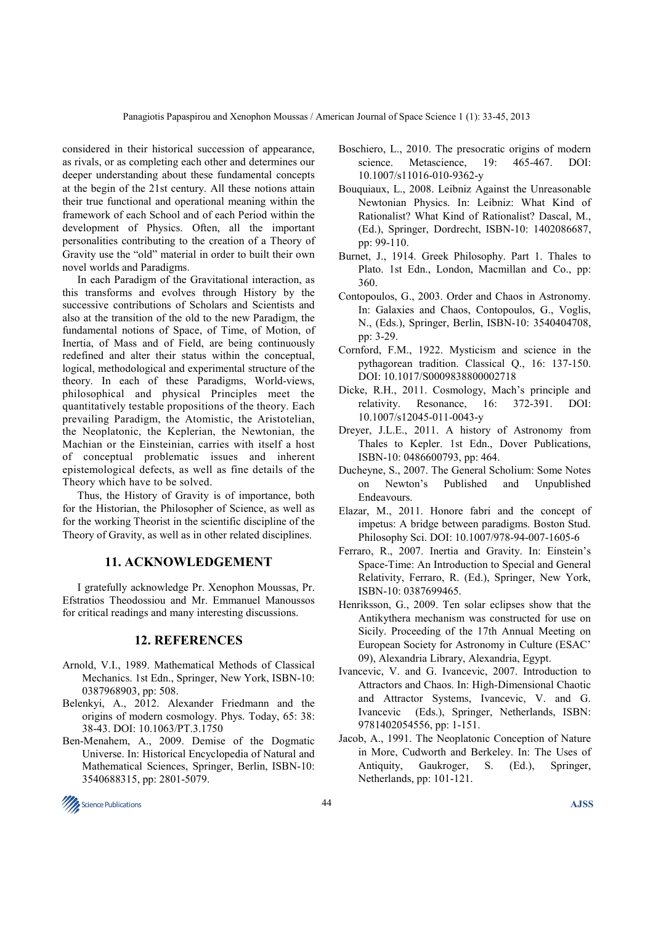considered in their historical succession of appearance, as rivals, or as completing each other and determines our deeper understanding about these fundamental concepts at the begin of the 21st century. All these notions attain their true functional and operational meaning within the framework of each School and of each Period within the development of Physics. Often, all the important personalities contributing to the creation of a Theory of Gravity use the "old" material in order to built their own novel worlds and Paradigms.

In each Paradigm of the Gravitational interaction, as this transforms and evolves through History by the successive contributions of Scholars and Scientists and also at the transition of the old to the new Paradigm, the fundamental notions of Space, of Time, of Motion, of Inertia, of Mass and of Field, are being continuously redefined and alter their status within the conceptual, logical, methodological and experimental structure of the theory. In each of these Paradigms, World-views, philosophical and physical Principles meet the quantitatively testable propositions of the theory. Each prevailing Paradigm, the Atomistic, the Aristotelian, the Neoplatonic, the Keplerian, the Newtonian, the Machian or the Einsteinian, carries with itself a host of conceptual problematic issues and inherent epistemological defects, as well as fine details of the Theory which have to be solved.

Thus, the History of Gravity is of importance, both for the Historian, the Philosopher of Science, as well as for the working Theorist in the scientific discipline of the Theory of Gravity, as well as in other related disciplines.

## **11. ACKNOWLEDGEMENT**

I gratefully acknowledge Pr. Xenophon Moussas, Pr. Efstratios Theodossiou and Mr. Emmanuel Manoussos for critical readings and many interesting discussions.

#### **12. REFERENCES**

- Arnold, V.I., 1989. Mathematical Methods of Classical Mechanics. 1st Edn., Springer, New York, ISBN-10: 0387968903, pp: 508.
- Belenkyi, A., 2012. Alexander Friedmann and the origins of modern cosmology. Phys. Today, 65: 38: 38-43. DOI: 10.1063/PT.3.1750
- Ben-Menahem, A., 2009. Demise of the Dogmatic Universe. In: Historical Encyclopedia of Natural and Mathematical Sciences, Springer, Berlin, ISBN-10: 3540688315, pp: 2801-5079.
- Boschiero, L., 2010. The presocratic origins of modern science. Metascience, 19: 465-467. DOI: 10.1007/s11016-010-9362-y
- Bouquiaux, L., 2008. Leibniz Against the Unreasonable Newtonian Physics. In: Leibniz: What Kind of Rationalist? What Kind of Rationalist? Dascal, M., (Ed.), Springer, Dordrecht, ISBN-10: 1402086687, pp: 99-110.
- Burnet, J., 1914. Greek Philosophy. Part 1. Thales to Plato. 1st Edn., London, Macmillan and Co., pp: 360.
- Contopoulos, G., 2003. Order and Chaos in Astronomy. In: Galaxies and Chaos, Contopoulos, G., Voglis, N., (Eds.), Springer, Berlin, ISBN-10: 3540404708, pp: 3-29.
- Cornford, F.M., 1922. Mysticism and science in the pythagorean tradition. Classical Q., 16: 137-150. DOI: 10.1017/S0009838800002718
- Dicke, R.H., 2011. Cosmology, Mach's principle and relativity. Resonance, 16: 372-391. DOI: 10.1007/s12045-011-0043-y
- Dreyer, J.L.E., 2011. A history of Astronomy from Thales to Kepler. 1st Edn., Dover Publications, ISBN-10: 0486600793, pp: 464.
- Ducheyne, S., 2007. The General Scholium: Some Notes on Newton's Published and Unpublished Endeavours.
- Elazar, M., 2011. Honore fabri and the concept of impetus: A bridge between paradigms. Boston Stud. Philosophy Sci. DOI: 10.1007/978-94-007-1605-6
- Ferraro, R., 2007. Inertia and Gravity. In: Einstein's Space-Time: An Introduction to Special and General Relativity, Ferraro, R. (Ed.), Springer, New York, ISBN-10: 0387699465.
- Henriksson, G., 2009. Ten solar eclipses show that the Antikythera mechanism was constructed for use on Sicily. Proceeding of the 17th Annual Meeting on European Society for Astronomy in Culture (ESAC' 09), Alexandria Library, Alexandria, Egypt.
- Ivancevic, V. and G. Ivancevic, 2007. Introduction to Attractors and Chaos. In: High-Dimensional Chaotic and Attractor Systems, Ivancevic, V. and G. Ivancevic (Eds.), Springer, Netherlands, ISBN: 9781402054556, pp: 1-151.
- Jacob, A., 1991. The Neoplatonic Conception of Nature in More, Cudworth and Berkeley. In: The Uses of Antiquity, Gaukroger, S. (Ed.), Springer, Netherlands, pp: 101-121.